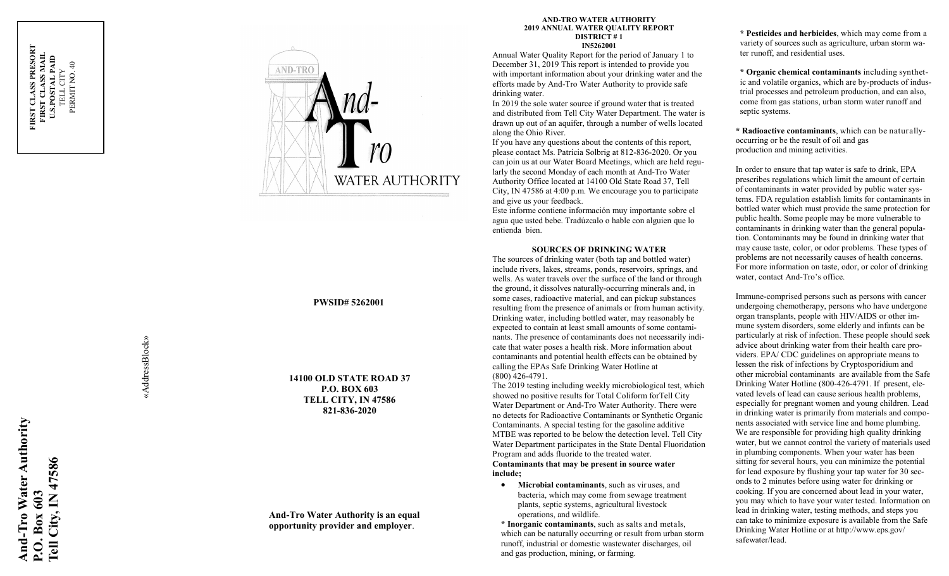

# **PWSID# 5262001**

**14100 OLD STATE ROAD 37 P.O. BOX 603 TELL CITY, IN 47586 821 -836 -2020**

## **And -Tro Water Authority is an equal opportunity provider and employer** .

#### **AND -TRO WATER AUTHORITY 2019 ANNUAL WATER QUALITY REPORT DISTRICT # 1 IN5262001**

Annual Water Quality Report for the period of January 1 to December 31, 2019 This report is intended to provide you with important information about your drinking water and the efforts made by And -Tro Water Authority to provide safe drinking water.

In 2019 the sole water source if ground water that is treated and distributed from Tell City Water Department. The water is drawn up out of an aquifer, through a number of wells located along the Ohio River.

If you have any questions about the contents of this report, please contact Ms. Patricia Solbrig at 812 -836 -2020. Or you can join us at our Water Board Meetings, which are held regularly the second Monday of each month at And-Tro Water Authority Office located at 14100 Old State Road 37, Tell City, IN 47586 at 4:00 p.m. We encourage you to participate and give us your feedback.

Este informe contiene información muy importante sobre el agua que usted bebe. Tradúzcalo o hable con alguien que lo entienda bien.

#### **SOURCES OF DRINKING WATER**

The sources of drinking water (both tap and bottled water) include rivers, lakes, streams, ponds, reservoirs, springs, and wells. As water travels over the surface of the land or through the ground, it dissolves naturally -occurring minerals and, in some cases, radioactive material, and can pickup substances resulting from the presence of animals or from human activity. Drinking water, including bottled water, may reasonably be expected to contain at least small amounts of some contaminants. The presence of contaminants does not necessarily indicate that water poses a health risk. More information about contaminants and potential health effects can be obtained by calling the EPAs Safe Drinking Water Hotline at (800) 426 -4791.

The 2019 testing including weekly microbiological test, which showed no positive results for Total Coliform forTell City Water Department or And -Tro Water Authority. There were no detects for Radioactive Contaminants or Synthetic Organic Contaminants. A special testing for the gasoline additive MTBE was reported to be below the detection level. Tell City Water Department participates in the State Dental Fluoridation Program and adds fluoride to the treated water. **Contaminants that may be present in source water include;**

 **Microbial contaminants**, such as viruses, and bacteria, which may come from sewage treatment plants, septic systems, agricultural livestock operations, and wildlife.

**\* Inorganic contaminants**, such as salts and metals, which can be naturally occurring or result from urban storm runoff, industrial or domestic wastewater discharges, oil and gas production, mining, or farming.

**\* Pesticides and herbicides**, which may come from a variety of sources such as agriculture, urban storm water runoff, and residential uses.

**\* Organic chemical contaminants** including synthetic and volatile organics, which are by-products of industrial processes and petroleum production, and can also, come from gas stations, urban storm water runoff and septic systems.

**\* Radioactive contaminants**, which can be naturally occurring or be the result of oil and gas production and mining activities.

In order to ensure that tap water is safe to drink, EPA prescribes regulations which limit the amount of certain of contaminants in water provided by public water systems. FDA regulation establish limits for contaminants in bottled water which must provide the same protection for public health. Some people may be more vulnerable to contaminants in drinking water than the general population. Contaminants may be found in drinking water that may cause taste, color, or odor problems. These types of problems are not necessarily causes of health concerns. For more information on taste, odor, or color of drinking water, contact And -Tro's office.

Immune -comprised persons such as persons with cancer undergoing chemotherapy, persons who have undergone organ transplants, people with HIV/AIDS or other immune system disorders, some elderly and infants can be particularly at risk of infection. These people should seek advice about drinking water from their health care providers. EPA/ CDC guidelines on appropriate means to lessen the risk of infections by Cryptosporidium and other microbial contaminants are available from the Safe Drinking Water Hotline (800 -426 -4791. If present, elevated levels of lead can cause serious health problems, especially for pregnant women and young children. Lead in drinking water is primarily from materials and components associated with service line and home plumbing. We are responsible for providing high quality drinking water, but we cannot control the variety of materials used in plumbing components. When your water has been sitting for several hours, you can minimize the potential for lead exposure by flushing your tap water for 30 seconds to 2 minutes before using water for drinking or cooking. If you are concerned about lead in your water, you may which to have your water tested. Information on lead in drinking water, testing methods, and steps you can take to minimize exposure is available from the Safe Drinking Water Hotline or at http://www.eps.gov/ safewater/lead.

«AddressBlock» «AddressBlock»